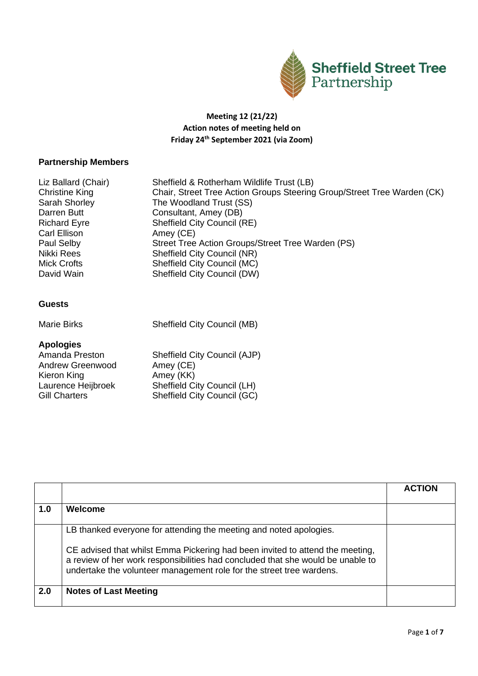

## **Meeting 12 (21/22) Action notes of meeting held on Friday 24th September 2021 (via Zoom)**

## **Partnership Members**

| Liz Ballard (Chair)   | Sheffield & Rotherham Wildlife Trust (LB)                               |
|-----------------------|-------------------------------------------------------------------------|
| <b>Christine King</b> | Chair, Street Tree Action Groups Steering Group/Street Tree Warden (CK) |
| Sarah Shorley         | The Woodland Trust (SS)                                                 |
| Darren Butt           | Consultant, Amey (DB)                                                   |
| <b>Richard Eyre</b>   | Sheffield City Council (RE)                                             |
| Carl Ellison          | Amey (CE)                                                               |
| Paul Selby            | Street Tree Action Groups/Street Tree Warden (PS)                       |
| Nikki Rees            | Sheffield City Council (NR)                                             |
| Mick Crofts           | Sheffield City Council (MC)                                             |
| David Wain            | Sheffield City Council (DW)                                             |
|                       |                                                                         |

## **Guests**

Marie Birks Sheffield City Council (MB)

## **Apologies**

| Amanda Preston       | Sheffield City Council (AJP) |
|----------------------|------------------------------|
| Andrew Greenwood     | Amey (CE)                    |
| Kieron King          | Amey (KK)                    |
| Laurence Heijbroek   | Sheffield City Council (LH)  |
| <b>Gill Charters</b> | Sheffield City Council (GC)  |

|     |                                                                                                                                                                                                                                                                                                                | <b>ACTION</b> |
|-----|----------------------------------------------------------------------------------------------------------------------------------------------------------------------------------------------------------------------------------------------------------------------------------------------------------------|---------------|
| 1.0 | Welcome                                                                                                                                                                                                                                                                                                        |               |
|     | LB thanked everyone for attending the meeting and noted apologies.<br>CE advised that whilst Emma Pickering had been invited to attend the meeting,<br>a review of her work responsibilities had concluded that she would be unable to<br>undertake the volunteer management role for the street tree wardens. |               |
| 2.0 | <b>Notes of Last Meeting</b>                                                                                                                                                                                                                                                                                   |               |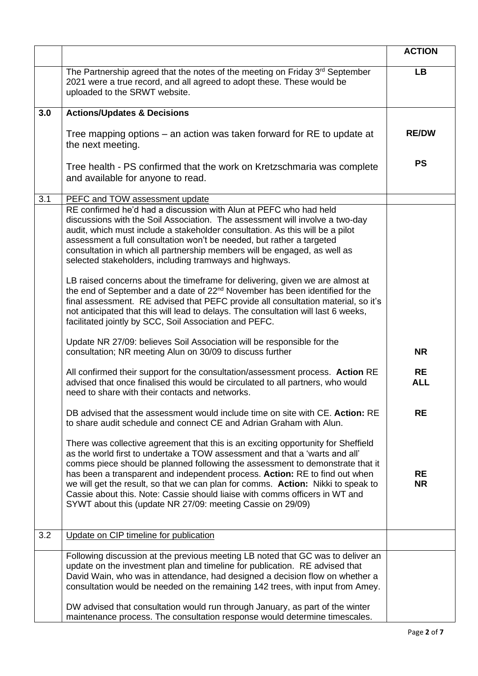|     |                                                                                                                                                                                                                                                                                                                                                                                                                                                                                                                                                                                                                                                                                                                                                                                                             | <b>ACTION</b>           |
|-----|-------------------------------------------------------------------------------------------------------------------------------------------------------------------------------------------------------------------------------------------------------------------------------------------------------------------------------------------------------------------------------------------------------------------------------------------------------------------------------------------------------------------------------------------------------------------------------------------------------------------------------------------------------------------------------------------------------------------------------------------------------------------------------------------------------------|-------------------------|
|     | The Partnership agreed that the notes of the meeting on Friday 3rd September<br>2021 were a true record, and all agreed to adopt these. These would be<br>uploaded to the SRWT website.                                                                                                                                                                                                                                                                                                                                                                                                                                                                                                                                                                                                                     | <b>LB</b>               |
| 3.0 | <b>Actions/Updates &amp; Decisions</b>                                                                                                                                                                                                                                                                                                                                                                                                                                                                                                                                                                                                                                                                                                                                                                      |                         |
|     | Tree mapping options – an action was taken forward for RE to update at<br>the next meeting.                                                                                                                                                                                                                                                                                                                                                                                                                                                                                                                                                                                                                                                                                                                 | <b>RE/DW</b>            |
|     | Tree health - PS confirmed that the work on Kretzschmaria was complete<br>and available for anyone to read.                                                                                                                                                                                                                                                                                                                                                                                                                                                                                                                                                                                                                                                                                                 | <b>PS</b>               |
| 3.1 | PEFC and TOW assessment update                                                                                                                                                                                                                                                                                                                                                                                                                                                                                                                                                                                                                                                                                                                                                                              |                         |
|     | RE confirmed he'd had a discussion with Alun at PEFC who had held<br>discussions with the Soil Association. The assessment will involve a two-day<br>audit, which must include a stakeholder consultation. As this will be a pilot<br>assessment a full consultation won't be needed, but rather a targeted<br>consultation in which all partnership members will be engaged, as well as<br>selected stakeholders, including tramways and highways.<br>LB raised concerns about the timeframe for delivering, given we are almost at<br>the end of September and a date of 22 <sup>nd</sup> November has been identified for the<br>final assessment. RE advised that PEFC provide all consultation material, so it's<br>not anticipated that this will lead to delays. The consultation will last 6 weeks, |                         |
|     | facilitated jointly by SCC, Soil Association and PEFC.<br>Update NR 27/09: believes Soil Association will be responsible for the                                                                                                                                                                                                                                                                                                                                                                                                                                                                                                                                                                                                                                                                            |                         |
|     | consultation; NR meeting Alun on 30/09 to discuss further                                                                                                                                                                                                                                                                                                                                                                                                                                                                                                                                                                                                                                                                                                                                                   | <b>NR</b>               |
|     | All confirmed their support for the consultation/assessment process. Action RE<br>advised that once finalised this would be circulated to all partners, who would<br>need to share with their contacts and networks.                                                                                                                                                                                                                                                                                                                                                                                                                                                                                                                                                                                        | <b>RE</b><br><b>ALL</b> |
|     | DB advised that the assessment would include time on site with CE. Action: RE<br>to share audit schedule and connect CE and Adrian Graham with Alun.                                                                                                                                                                                                                                                                                                                                                                                                                                                                                                                                                                                                                                                        | <b>RE</b>               |
|     | There was collective agreement that this is an exciting opportunity for Sheffield<br>as the world first to undertake a TOW assessment and that a 'warts and all'<br>comms piece should be planned following the assessment to demonstrate that it<br>has been a transparent and independent process. Action: RE to find out when<br>we will get the result, so that we can plan for comms. Action: Nikki to speak to<br>Cassie about this. Note: Cassie should liaise with comms officers in WT and<br>SYWT about this (update NR 27/09: meeting Cassie on 29/09)                                                                                                                                                                                                                                           | <b>RE</b><br><b>NR</b>  |
| 3.2 | Update on CIP timeline for publication                                                                                                                                                                                                                                                                                                                                                                                                                                                                                                                                                                                                                                                                                                                                                                      |                         |
|     | Following discussion at the previous meeting LB noted that GC was to deliver an<br>update on the investment plan and timeline for publication. RE advised that<br>David Wain, who was in attendance, had designed a decision flow on whether a<br>consultation would be needed on the remaining 142 trees, with input from Amey.<br>DW advised that consultation would run through January, as part of the winter<br>maintenance process. The consultation response would determine timescales.                                                                                                                                                                                                                                                                                                             |                         |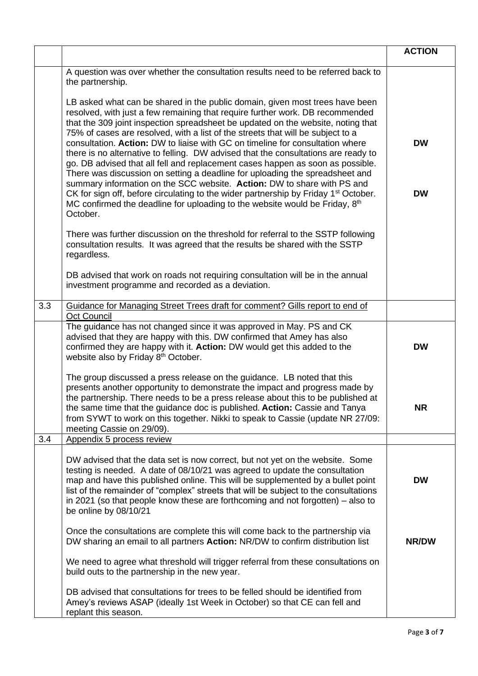|     |                                                                                                                                                                                                                                                                                                                                                                                                                                                                                                                                                                                                                                                                                                                                                                                                                                                                                                                                                        | <b>ACTION</b>          |
|-----|--------------------------------------------------------------------------------------------------------------------------------------------------------------------------------------------------------------------------------------------------------------------------------------------------------------------------------------------------------------------------------------------------------------------------------------------------------------------------------------------------------------------------------------------------------------------------------------------------------------------------------------------------------------------------------------------------------------------------------------------------------------------------------------------------------------------------------------------------------------------------------------------------------------------------------------------------------|------------------------|
|     | A question was over whether the consultation results need to be referred back to<br>the partnership.                                                                                                                                                                                                                                                                                                                                                                                                                                                                                                                                                                                                                                                                                                                                                                                                                                                   |                        |
|     | LB asked what can be shared in the public domain, given most trees have been<br>resolved, with just a few remaining that require further work. DB recommended<br>that the 309 joint inspection spreadsheet be updated on the website, noting that<br>75% of cases are resolved, with a list of the streets that will be subject to a<br>consultation. Action: DW to liaise with GC on timeline for consultation where<br>there is no alternative to felling. DW advised that the consultations are ready to<br>go. DB advised that all fell and replacement cases happen as soon as possible.<br>There was discussion on setting a deadline for uploading the spreadsheet and<br>summary information on the SCC website. Action: DW to share with PS and<br>CK for sign off, before circulating to the wider partnership by Friday 1 <sup>st</sup> October.<br>MC confirmed the deadline for uploading to the website would be Friday, 8th<br>October. | <b>DW</b><br><b>DW</b> |
|     | There was further discussion on the threshold for referral to the SSTP following<br>consultation results. It was agreed that the results be shared with the SSTP<br>regardless.                                                                                                                                                                                                                                                                                                                                                                                                                                                                                                                                                                                                                                                                                                                                                                        |                        |
|     | DB advised that work on roads not requiring consultation will be in the annual<br>investment programme and recorded as a deviation.                                                                                                                                                                                                                                                                                                                                                                                                                                                                                                                                                                                                                                                                                                                                                                                                                    |                        |
| 3.3 | Guidance for Managing Street Trees draft for comment? Gills report to end of                                                                                                                                                                                                                                                                                                                                                                                                                                                                                                                                                                                                                                                                                                                                                                                                                                                                           |                        |
|     | <b>Oct Council</b><br>The guidance has not changed since it was approved in May. PS and CK<br>advised that they are happy with this. DW confirmed that Amey has also<br>confirmed they are happy with it. Action: DW would get this added to the<br>website also by Friday 8th October.                                                                                                                                                                                                                                                                                                                                                                                                                                                                                                                                                                                                                                                                | <b>DW</b>              |
|     | The group discussed a press release on the guidance. LB noted that this<br>presents another opportunity to demonstrate the impact and progress made by<br>the partnership. There needs to be a press release about this to be published at<br>the same time that the guidance doc is published. Action: Cassie and Tanya<br>from SYWT to work on this together. Nikki to speak to Cassie (update NR 27/09:<br>meeting Cassie on 29/09).                                                                                                                                                                                                                                                                                                                                                                                                                                                                                                                | <b>NR</b>              |
| 3.4 | Appendix 5 process review                                                                                                                                                                                                                                                                                                                                                                                                                                                                                                                                                                                                                                                                                                                                                                                                                                                                                                                              |                        |
|     | DW advised that the data set is now correct, but not yet on the website. Some<br>testing is needed. A date of 08/10/21 was agreed to update the consultation<br>map and have this published online. This will be supplemented by a bullet point<br>list of the remainder of "complex" streets that will be subject to the consultations<br>in 2021 (so that people know these are forthcoming and not forgotten) $-$ also to<br>be online by 08/10/21                                                                                                                                                                                                                                                                                                                                                                                                                                                                                                  | <b>DW</b>              |
|     | Once the consultations are complete this will come back to the partnership via<br>DW sharing an email to all partners Action: NR/DW to confirm distribution list                                                                                                                                                                                                                                                                                                                                                                                                                                                                                                                                                                                                                                                                                                                                                                                       | NR/DW                  |
|     | We need to agree what threshold will trigger referral from these consultations on<br>build outs to the partnership in the new year.                                                                                                                                                                                                                                                                                                                                                                                                                                                                                                                                                                                                                                                                                                                                                                                                                    |                        |
|     | DB advised that consultations for trees to be felled should be identified from<br>Amey's reviews ASAP (ideally 1st Week in October) so that CE can fell and<br>replant this season.                                                                                                                                                                                                                                                                                                                                                                                                                                                                                                                                                                                                                                                                                                                                                                    |                        |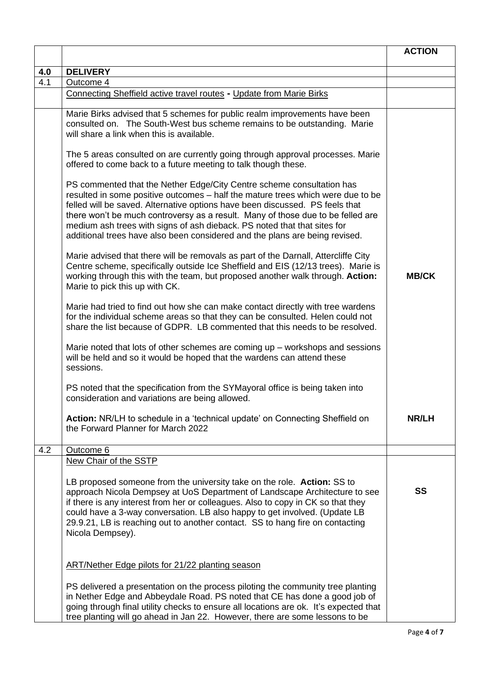|     |                                                                                                                                                                                                                                                                                                                                                                                                                                                                                        | <b>ACTION</b> |
|-----|----------------------------------------------------------------------------------------------------------------------------------------------------------------------------------------------------------------------------------------------------------------------------------------------------------------------------------------------------------------------------------------------------------------------------------------------------------------------------------------|---------------|
| 4.0 | <b>DELIVERY</b>                                                                                                                                                                                                                                                                                                                                                                                                                                                                        |               |
| 4.1 | Outcome 4                                                                                                                                                                                                                                                                                                                                                                                                                                                                              |               |
|     | Connecting Sheffield active travel routes - Update from Marie Birks                                                                                                                                                                                                                                                                                                                                                                                                                    |               |
|     | Marie Birks advised that 5 schemes for public realm improvements have been<br>consulted on. The South-West bus scheme remains to be outstanding. Marie<br>will share a link when this is available.                                                                                                                                                                                                                                                                                    |               |
|     | The 5 areas consulted on are currently going through approval processes. Marie<br>offered to come back to a future meeting to talk though these.                                                                                                                                                                                                                                                                                                                                       |               |
|     | PS commented that the Nether Edge/City Centre scheme consultation has<br>resulted in some positive outcomes - half the mature trees which were due to be<br>felled will be saved. Alternative options have been discussed. PS feels that<br>there won't be much controversy as a result. Many of those due to be felled are<br>medium ash trees with signs of ash dieback. PS noted that that sites for<br>additional trees have also been considered and the plans are being revised. |               |
|     | Marie advised that there will be removals as part of the Darnall, Attercliffe City<br>Centre scheme, specifically outside Ice Sheffield and EIS (12/13 trees). Marie is<br>working through this with the team, but proposed another walk through. Action:<br>Marie to pick this up with CK.                                                                                                                                                                                            | <b>MB/CK</b>  |
|     | Marie had tried to find out how she can make contact directly with tree wardens<br>for the individual scheme areas so that they can be consulted. Helen could not<br>share the list because of GDPR. LB commented that this needs to be resolved.                                                                                                                                                                                                                                      |               |
|     | Marie noted that lots of other schemes are coming $up -$ workshops and sessions<br>will be held and so it would be hoped that the wardens can attend these<br>sessions.                                                                                                                                                                                                                                                                                                                |               |
|     | PS noted that the specification from the SYMayoral office is being taken into<br>consideration and variations are being allowed.                                                                                                                                                                                                                                                                                                                                                       |               |
|     | Action: NR/LH to schedule in a 'technical update' on Connecting Sheffield on<br>the Forward Planner for March 2022                                                                                                                                                                                                                                                                                                                                                                     | <b>NR/LH</b>  |
| 4.2 | Outcome 6                                                                                                                                                                                                                                                                                                                                                                                                                                                                              |               |
|     | New Chair of the SSTP<br>LB proposed someone from the university take on the role. Action: SS to                                                                                                                                                                                                                                                                                                                                                                                       |               |
|     | approach Nicola Dempsey at UoS Department of Landscape Architecture to see<br>if there is any interest from her or colleagues. Also to copy in CK so that they<br>could have a 3-way conversation. LB also happy to get involved. (Update LB<br>29.9.21, LB is reaching out to another contact. SS to hang fire on contacting<br>Nicola Dempsey).                                                                                                                                      | <b>SS</b>     |
|     | <b>ART/Nether Edge pilots for 21/22 planting season</b>                                                                                                                                                                                                                                                                                                                                                                                                                                |               |
|     | PS delivered a presentation on the process piloting the community tree planting<br>in Nether Edge and Abbeydale Road. PS noted that CE has done a good job of<br>going through final utility checks to ensure all locations are ok. It's expected that<br>tree planting will go ahead in Jan 22. However, there are some lessons to be                                                                                                                                                 |               |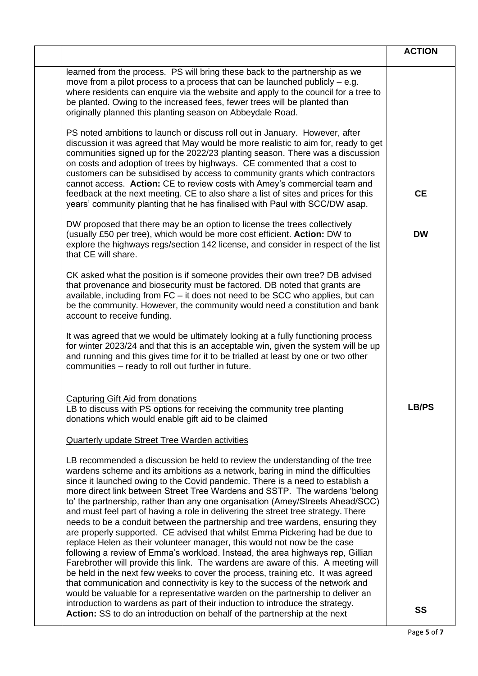|                                                                                                                                                                                                                                                                                                                                                                                                                                                                                                                                                                                                                                                                                                                                                                                                                                                                                                                                                                                                                                                                                                                                                                             | <b>ACTION</b> |
|-----------------------------------------------------------------------------------------------------------------------------------------------------------------------------------------------------------------------------------------------------------------------------------------------------------------------------------------------------------------------------------------------------------------------------------------------------------------------------------------------------------------------------------------------------------------------------------------------------------------------------------------------------------------------------------------------------------------------------------------------------------------------------------------------------------------------------------------------------------------------------------------------------------------------------------------------------------------------------------------------------------------------------------------------------------------------------------------------------------------------------------------------------------------------------|---------------|
| learned from the process. PS will bring these back to the partnership as we<br>move from a pilot process to a process that can be launched publicly $-$ e.g.<br>where residents can enquire via the website and apply to the council for a tree to<br>be planted. Owing to the increased fees, fewer trees will be planted than<br>originally planned this planting season on Abbeydale Road.                                                                                                                                                                                                                                                                                                                                                                                                                                                                                                                                                                                                                                                                                                                                                                               |               |
| PS noted ambitions to launch or discuss roll out in January. However, after<br>discussion it was agreed that May would be more realistic to aim for, ready to get<br>communities signed up for the 2022/23 planting season. There was a discussion<br>on costs and adoption of trees by highways. CE commented that a cost to<br>customers can be subsidised by access to community grants which contractors<br>cannot access. Action: CE to review costs with Amey's commercial team and<br>feedback at the next meeting. CE to also share a list of sites and prices for this<br>years' community planting that he has finalised with Paul with SCC/DW asap.                                                                                                                                                                                                                                                                                                                                                                                                                                                                                                              | <b>CE</b>     |
| DW proposed that there may be an option to license the trees collectively<br>(usually £50 per tree), which would be more cost efficient. Action: DW to<br>explore the highways regs/section 142 license, and consider in respect of the list<br>that CE will share.                                                                                                                                                                                                                                                                                                                                                                                                                                                                                                                                                                                                                                                                                                                                                                                                                                                                                                         | <b>DW</b>     |
| CK asked what the position is if someone provides their own tree? DB advised<br>that provenance and biosecurity must be factored. DB noted that grants are<br>available, including from FC - it does not need to be SCC who applies, but can<br>be the community. However, the community would need a constitution and bank<br>account to receive funding.                                                                                                                                                                                                                                                                                                                                                                                                                                                                                                                                                                                                                                                                                                                                                                                                                  |               |
| It was agreed that we would be ultimately looking at a fully functioning process<br>for winter 2023/24 and that this is an acceptable win, given the system will be up<br>and running and this gives time for it to be trialled at least by one or two other<br>communities - ready to roll out further in future.                                                                                                                                                                                                                                                                                                                                                                                                                                                                                                                                                                                                                                                                                                                                                                                                                                                          |               |
| <b>Capturing Gift Aid from donations</b><br>LB to discuss with PS options for receiving the community tree planting<br>donations which would enable gift aid to be claimed                                                                                                                                                                                                                                                                                                                                                                                                                                                                                                                                                                                                                                                                                                                                                                                                                                                                                                                                                                                                  | <b>LB/PS</b>  |
| <b>Quarterly update Street Tree Warden activities</b>                                                                                                                                                                                                                                                                                                                                                                                                                                                                                                                                                                                                                                                                                                                                                                                                                                                                                                                                                                                                                                                                                                                       |               |
| LB recommended a discussion be held to review the understanding of the tree<br>wardens scheme and its ambitions as a network, baring in mind the difficulties<br>since it launched owing to the Covid pandemic. There is a need to establish a<br>more direct link between Street Tree Wardens and SSTP. The wardens 'belong<br>to' the partnership, rather than any one organisation (Amey/Streets Ahead/SCC)<br>and must feel part of having a role in delivering the street tree strategy. There<br>needs to be a conduit between the partnership and tree wardens, ensuring they<br>are properly supported. CE advised that whilst Emma Pickering had be due to<br>replace Helen as their volunteer manager, this would not now be the case<br>following a review of Emma's workload. Instead, the area highways rep, Gillian<br>Farebrother will provide this link. The wardens are aware of this. A meeting will<br>be held in the next few weeks to cover the process, training etc. It was agreed<br>that communication and connectivity is key to the success of the network and<br>would be valuable for a representative warden on the partnership to deliver an |               |
| introduction to wardens as part of their induction to introduce the strategy.<br>Action: SS to do an introduction on behalf of the partnership at the next                                                                                                                                                                                                                                                                                                                                                                                                                                                                                                                                                                                                                                                                                                                                                                                                                                                                                                                                                                                                                  | <b>SS</b>     |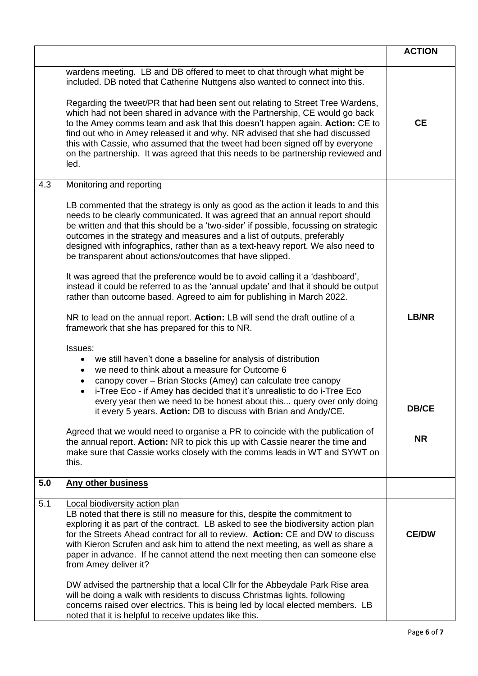|     |                                                                                                                                                                                                                                                                                                                                                                                                                                                                                                                                                                                                                                                                                                                                                                                                                                                                          | <b>ACTION</b>             |
|-----|--------------------------------------------------------------------------------------------------------------------------------------------------------------------------------------------------------------------------------------------------------------------------------------------------------------------------------------------------------------------------------------------------------------------------------------------------------------------------------------------------------------------------------------------------------------------------------------------------------------------------------------------------------------------------------------------------------------------------------------------------------------------------------------------------------------------------------------------------------------------------|---------------------------|
|     | wardens meeting. LB and DB offered to meet to chat through what might be<br>included. DB noted that Catherine Nuttgens also wanted to connect into this.<br>Regarding the tweet/PR that had been sent out relating to Street Tree Wardens,<br>which had not been shared in advance with the Partnership, CE would go back<br>to the Amey comms team and ask that this doesn't happen again. Action: CE to<br>find out who in Amey released it and why. NR advised that she had discussed<br>this with Cassie, who assumed that the tweet had been signed off by everyone<br>on the partnership. It was agreed that this needs to be partnership reviewed and<br>led.                                                                                                                                                                                                     | <b>CE</b>                 |
| 4.3 | Monitoring and reporting                                                                                                                                                                                                                                                                                                                                                                                                                                                                                                                                                                                                                                                                                                                                                                                                                                                 |                           |
|     | LB commented that the strategy is only as good as the action it leads to and this<br>needs to be clearly communicated. It was agreed that an annual report should<br>be written and that this should be a 'two-sider' if possible, focussing on strategic<br>outcomes in the strategy and measures and a list of outputs, preferably<br>designed with infographics, rather than as a text-heavy report. We also need to<br>be transparent about actions/outcomes that have slipped.<br>It was agreed that the preference would be to avoid calling it a 'dashboard',<br>instead it could be referred to as the 'annual update' and that it should be output<br>rather than outcome based. Agreed to aim for publishing in March 2022.<br>NR to lead on the annual report. Action: LB will send the draft outline of a<br>framework that she has prepared for this to NR. | LB/NR                     |
|     | Issues:<br>we still haven't done a baseline for analysis of distribution<br>٠<br>we need to think about a measure for Outcome 6<br>$\bullet$<br>canopy cover - Brian Stocks (Amey) can calculate tree canopy<br>٠<br>i-Tree Eco - if Amey has decided that it's unrealistic to do i-Tree Eco<br>every year then we need to be honest about this query over only doing<br>it every 5 years. Action: DB to discuss with Brian and Andy/CE.<br>Agreed that we would need to organise a PR to coincide with the publication of<br>the annual report. Action: NR to pick this up with Cassie nearer the time and<br>make sure that Cassie works closely with the comms leads in WT and SYWT on<br>this.                                                                                                                                                                       | <b>DB/CE</b><br><b>NR</b> |
| 5.0 | <b>Any other business</b>                                                                                                                                                                                                                                                                                                                                                                                                                                                                                                                                                                                                                                                                                                                                                                                                                                                |                           |
| 5.1 | <b>Local biodiversity action plan</b><br>LB noted that there is still no measure for this, despite the commitment to<br>exploring it as part of the contract. LB asked to see the biodiversity action plan<br>for the Streets Ahead contract for all to review. Action: CE and DW to discuss<br>with Kieron Scrufen and ask him to attend the next meeting, as well as share a<br>paper in advance. If he cannot attend the next meeting then can someone else<br>from Amey deliver it?<br>DW advised the partnership that a local Cllr for the Abbeydale Park Rise area<br>will be doing a walk with residents to discuss Christmas lights, following<br>concerns raised over electrics. This is being led by local elected members. LB<br>noted that it is helpful to receive updates like this.                                                                       | <b>CE/DW</b>              |